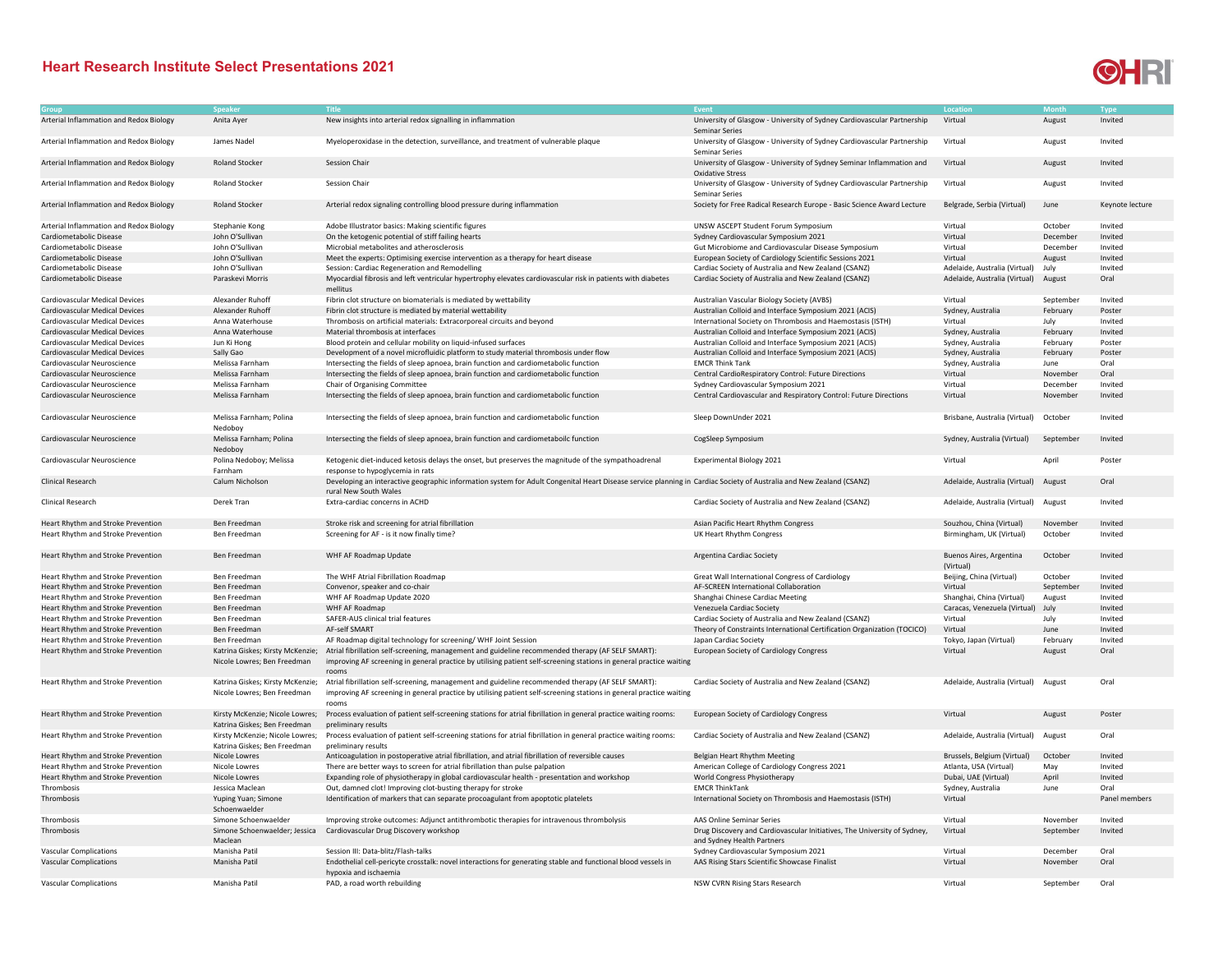## **Heart Research Institute Select Presentations 2021**



|                                         | Speaker                          | Title                                                                                                                                                               | Event                                                                    |                                      |           | Type            |
|-----------------------------------------|----------------------------------|---------------------------------------------------------------------------------------------------------------------------------------------------------------------|--------------------------------------------------------------------------|--------------------------------------|-----------|-----------------|
| Arterial Inflammation and Redox Biology | Anita Ayer                       | New insights into arterial redox signalling in inflammation                                                                                                         | University of Glasgow - University of Sydney Cardiovascular Partnership  | Virtual                              | August    | Invited         |
|                                         |                                  |                                                                                                                                                                     | <b>Seminar Series</b>                                                    |                                      |           |                 |
| Arterial Inflammation and Redox Biology | James Nadel                      | Myeloperoxidase in the detection, surveillance, and treatment of vulnerable plaque                                                                                  | University of Glasgow - University of Sydney Cardiovascular Partnership  | Virtual                              | August    | Invited         |
|                                         |                                  |                                                                                                                                                                     | <b>Seminar Series</b>                                                    |                                      |           |                 |
|                                         |                                  | Session Chair                                                                                                                                                       |                                                                          |                                      |           |                 |
| Arterial Inflammation and Redox Biology | Roland Stocker                   |                                                                                                                                                                     | University of Glasgow - University of Sydney Seminar Inflammation and    | Virtual                              | August    | Invited         |
|                                         |                                  |                                                                                                                                                                     | <b>Oxidative Stress</b>                                                  |                                      |           |                 |
| Arterial Inflammation and Redox Biology | Roland Stocker                   | Session Chair                                                                                                                                                       | University of Glasgow - University of Sydney Cardiovascular Partnership  | Virtual                              | August    | Invited         |
|                                         |                                  |                                                                                                                                                                     | Seminar Series                                                           |                                      |           |                 |
| Arterial Inflammation and Redox Biology | <b>Roland Stocker</b>            | Arterial redox signaling controlling blood pressure during inflammation                                                                                             | Society for Free Radical Research Europe - Basic Science Award Lecture   | Belgrade, Serbia (Virtual)           | June      | Keynote lecture |
|                                         |                                  |                                                                                                                                                                     |                                                                          |                                      |           |                 |
| Arterial Inflammation and Redox Biology | Stephanie Kong                   | Adobe Illustrator basics: Making scientific figures                                                                                                                 | UNSW ASCEPT Student Forum Symposium                                      | Virtual                              | October   | Invited         |
| Cardiometabolic Disease                 | John O'Sullivan                  | On the ketogenic potential of stiff failing hearts                                                                                                                  | Sydney Cardiovascular Symposium 2021                                     | Virtual                              | December  | Invited         |
| Cardiometabolic Disease                 | John O'Sullivan                  | Microbial metabolites and atherosclerosis                                                                                                                           | Gut Microbiome and Cardiovascular Disease Symposium                      | Virtual                              | December  | Invited         |
| Cardiometabolic Disease                 | John O'Sullivan                  |                                                                                                                                                                     |                                                                          | Virtual                              |           | Invited         |
|                                         |                                  | Meet the experts: Optimising exercise intervention as a therapy for heart disease                                                                                   | European Society of Cardiology Scientific Sessions 2021                  |                                      | August    |                 |
| Cardiometabolic Disease                 | John O'Sullivan                  | Session: Cardiac Regeneration and Remodelling                                                                                                                       | Cardiac Society of Australia and New Zealand (CSANZ)                     | Adelaide, Australia (Virtual)        | July      | Invited         |
| Cardiometabolic Disease                 | Paraskevi Morris                 | Myocardial fibrosis and left ventricular hypertrophy elevates cardiovascular risk in patients with diabetes                                                         | Cardiac Society of Australia and New Zealand (CSANZ)                     | Adelaide, Australia (Virtual)        | August    | Oral            |
|                                         |                                  | mellitus                                                                                                                                                            |                                                                          |                                      |           |                 |
| Cardiovascular Medical Devices          | Alexander Ruhoff                 | Fibrin clot structure on biomaterials is mediated by wettability                                                                                                    | Australian Vascular Biology Society (AVBS)                               | Virtual                              | September | Invited         |
| Cardiovascular Medical Devices          | Alexander Ruhoff                 | Fibrin clot structure is mediated by material wettability                                                                                                           | Australian Colloid and Interface Symposium 2021 (ACIS)                   | Sydney, Australia                    | February  | Poster          |
| Cardiovascular Medical Devices          | Anna Waterhouse                  | Thrombosis on artificial materials: Extracorporeal circuits and beyond                                                                                              | International Society on Thrombosis and Haemostasis (ISTH)               | Virtual                              | July      | Invited         |
| Cardiovascular Medical Devices          | Anna Waterhouse                  | Material thrombosis at interfaces                                                                                                                                   | Australian Colloid and Interface Symposium 2021 (ACIS)                   | Sydney, Australia                    | February  | Invited         |
| Cardiovascular Medical Devices          | Jun Ki Hong                      | Blood protein and cellular mobility on liquid-infused surfaces                                                                                                      | Australian Colloid and Interface Symposium 2021 (ACIS)                   | Sydney, Australia                    | February  | Poster          |
| Cardiovascular Medical Devices          | Sally Gao                        | Development of a novel microfluidic platform to study material thrombosis under flow                                                                                | Australian Colloid and Interface Symposium 2021 (ACIS)                   | Sydney, Australia                    | February  | Poster          |
|                                         |                                  |                                                                                                                                                                     |                                                                          |                                      |           |                 |
| Cardiovascular Neuroscience             | Melissa Farnham                  | Intersecting the fields of sleep apnoea, brain function and cardiometabolic function                                                                                | <b>EMCR Think Tank</b>                                                   | Sydney, Australia                    | June      | Oral            |
| Cardiovascular Neuroscience             | Melissa Farnham                  | Intersecting the fields of sleep apnoea, brain function and cardiometabolic function                                                                                | Central CardioRespiratory Control: Future Directions                     | Virtual                              | November  | Oral            |
| Cardiovascular Neuroscience             | Melissa Farnham                  | Chair of Organising Committee                                                                                                                                       | Sydney Cardiovascular Symposium 2021                                     | Virtual                              | December  | Invited         |
| Cardiovascular Neuroscience             | Melissa Farnham                  | Intersecting the fields of sleep apnoea, brain function and cardiometabolic function                                                                                | Central Cardiovascular and Respiratory Control: Future Directions        | Virtual                              | November  | Invited         |
|                                         |                                  |                                                                                                                                                                     |                                                                          |                                      |           |                 |
| Cardiovascular Neuroscience             | Melissa Farnham; Polina          | Intersecting the fields of sleep apnoea, brain function and cardiometabolic function                                                                                | Sleep DownUnder 2021                                                     | Brisbane, Australia (Virtual)        | October   | Invited         |
|                                         | Nedobov                          |                                                                                                                                                                     |                                                                          |                                      |           |                 |
| Cardiovascular Neuroscience             | Melissa Farnham; Polina          | Intersecting the fields of sleep apnoea, brain function and cardiometaboilc function                                                                                | CogSleep Symposium                                                       | Sydney, Australia (Virtual)          | September | Invited         |
|                                         |                                  |                                                                                                                                                                     |                                                                          |                                      |           |                 |
|                                         | Nedoboy                          |                                                                                                                                                                     |                                                                          |                                      |           |                 |
| Cardiovascular Neuroscience             | Polina Nedoboy; Melissa          | Ketogenic diet-induced ketosis delays the onset, but preserves the magnitude of the sympathoadrenal                                                                 | <b>Experimental Biology 2021</b>                                         | Virtual                              | April     | Poster          |
|                                         | Farnham                          | response to hypoglycemia in rats                                                                                                                                    |                                                                          |                                      |           |                 |
| <b>Clinical Research</b>                | Calum Nicholson                  | Developing an interactive geographic information system for Adult Congenital Heart Disease service planning in Cardiac Society of Australia and New Zealand (CSANZ) |                                                                          | Adelaide, Australia (Virtual)        | August    | Oral            |
|                                         |                                  | rural New South Wales                                                                                                                                               |                                                                          |                                      |           |                 |
| <b>Clinical Research</b>                | Derek Tran                       | Extra-cardiac concerns in ACHD                                                                                                                                      | Cardiac Society of Australia and New Zealand (CSANZ)                     | Adelaide, Australia (Virtual)        | August    | Invited         |
|                                         |                                  |                                                                                                                                                                     |                                                                          |                                      |           |                 |
| Heart Rhythm and Stroke Prevention      | Ben Freedman                     | Stroke risk and screening for atrial fibrillation                                                                                                                   | Asian Pacific Heart Rhythm Congress                                      | Souzhou, China (Virtual)             | November  | Invited         |
| Heart Rhythm and Stroke Prevention      | Ben Freedman                     | Screening for AF - is it now finally time?                                                                                                                          | UK Heart Rhythm Congress                                                 | Birmingham, UK (Virtual)             | October   | Invited         |
|                                         |                                  |                                                                                                                                                                     |                                                                          |                                      |           |                 |
|                                         |                                  |                                                                                                                                                                     |                                                                          |                                      |           |                 |
| Heart Rhythm and Stroke Prevention      | Ben Freedman                     | WHF AF Roadmap Update                                                                                                                                               | Argentina Cardiac Society                                                | Buenos Aires, Argentina              | October   | Invited         |
|                                         |                                  |                                                                                                                                                                     |                                                                          | (Virtual)                            |           |                 |
| Heart Rhythm and Stroke Prevention      | Ben Freedman                     | The WHF Atrial Fibrillation Roadmap                                                                                                                                 | Great Wall International Congress of Cardiology                          | Beijing, China (Virtual)             | October   | Invited         |
| Heart Rhythm and Stroke Prevention      | Ben Freedman                     | Convenor, speaker and co-chair                                                                                                                                      | AF-SCREEN International Collaboration                                    | Virtual                              | September | Invited         |
| Heart Rhythm and Stroke Prevention      | Ben Freedman                     | WHF AF Roadmap Update 2020                                                                                                                                          | Shanghai Chinese Cardiac Meeting                                         | Shanghai, China (Virtual)            | August    | Invited         |
| Heart Rhythm and Stroke Prevention      | Ben Freedman                     | WHF AF Roadmap                                                                                                                                                      | Venezuela Cardiac Society                                                | Caracas, Venezuela (Virtual)         | July      | Invited         |
| Heart Rhythm and Stroke Prevention      | Ben Freedman                     | SAFER-AUS clinical trial features                                                                                                                                   | Cardiac Society of Australia and New Zealand (CSANZ)                     | Virtual                              | July      | Invited         |
| Heart Rhythm and Stroke Prevention      | Ben Freedman                     | AF-self SMART                                                                                                                                                       | Theory of Constraints International Certification Organization (TOCICO)  | Virtual                              | June      | Invited         |
| Heart Rhythm and Stroke Prevention      | Ben Freedman                     | AF Roadmap digital technology for screening/ WHF Joint Session                                                                                                      | Japan Cardiac Society                                                    | Tokyo, Japan (Virtual)               | February  | Invited         |
| Heart Rhythm and Stroke Prevention      | Katrina Giskes; Kirsty McKenzie; | Atrial fibrillation self-screening, management and guideline recommended therapy (AF SELF SMART):                                                                   |                                                                          | Virtual                              |           | Oral            |
|                                         |                                  |                                                                                                                                                                     | <b>European Society of Cardiology Congress</b>                           |                                      | August    |                 |
|                                         | Nicole Lowres: Ben Freedman      | improving AF screening in general practice by utilising patient self-screening stations in general practice waiting                                                 |                                                                          |                                      |           |                 |
|                                         |                                  | rooms                                                                                                                                                               |                                                                          |                                      |           |                 |
| Heart Rhythm and Stroke Prevention      |                                  | Katrina Giskes; Kirsty McKenzie; Atrial fibrillation self-screening, management and guideline recommended therapy (AF SELF SMART):                                  | Cardiac Society of Australia and New Zealand (CSANZ)                     | Adelaide, Australia (Virtual) August |           | Oral            |
|                                         | Nicole Lowres; Ben Freedman      | improving AF screening in general practice by utilising patient self-screening stations in general practice waiting                                                 |                                                                          |                                      |           |                 |
|                                         |                                  | rooms                                                                                                                                                               |                                                                          |                                      |           |                 |
| Heart Rhythm and Stroke Prevention      | Kirsty McKenzie; Nicole Lowres;  | Process evaluation of patient self-screening stations for atrial fibrillation in general practice waiting rooms:                                                    | <b>European Society of Cardiology Congress</b>                           | Virtual                              | August    | Poster          |
|                                         | Katrina Giskes: Ben Freedman     | preliminary results                                                                                                                                                 |                                                                          |                                      |           |                 |
| Heart Rhythm and Stroke Prevention      | Kirsty McKenzie; Nicole Lowres;  | Process evaluation of patient self-screening stations for atrial fibrillation in general practice waiting rooms:                                                    | Cardiac Society of Australia and New Zealand (CSANZ)                     | Adelaide, Australia (Virtual)        | August    | Oral            |
|                                         | Katrina Giskes: Ben Freedman     | preliminary results                                                                                                                                                 |                                                                          |                                      |           |                 |
|                                         | Nicole Lowres                    | Anticoagulation in postoperative atrial fibrillation, and atrial fibrillation of reversible causes                                                                  |                                                                          |                                      | October   | Invited         |
| Heart Rhythm and Stroke Prevention      |                                  |                                                                                                                                                                     | Belgian Heart Rhythm Meeting                                             | Brussels, Belgium (Virtual)          |           |                 |
| Heart Rhythm and Stroke Prevention      | Nicole Lowres                    | There are better ways to screen for atrial fibrillation than pulse palpation                                                                                        | American College of Cardiology Congress 2021                             | Atlanta, USA (Virtual)               | May       | Invited         |
| Heart Rhythm and Stroke Prevention      | Nicole Lowres                    | Expanding role of physiotherapy in global cardiovascular health - presentation and workshop                                                                         | World Congress Physiotherapy                                             | Dubai, UAE (Virtual)                 | April     | Invited         |
| Thrombosis                              | Jessica Maclean                  | Out, damned clot! Improving clot-busting therapy for stroke                                                                                                         | <b>EMCR ThinkTank</b>                                                    | Sydney, Australia                    | June      | Oral            |
| Thrombosis                              | Yuping Yuan; Simone              | Identification of markers that can separate procoagulant from apoptotic platelets                                                                                   | International Society on Thrombosis and Haemostasis (ISTH)               | Virtual                              |           | Panel members   |
|                                         | Schoenwaelder                    |                                                                                                                                                                     |                                                                          |                                      |           |                 |
| Thrombosis                              | Simone Schoenwaelder             | Improving stroke outcomes: Adjunct antithrombotic therapies for intravenous thrombolysis                                                                            | AAS Online Seminar Series                                                | Virtual                              | November  | Invited         |
| Thrombosis                              | Simone Schoenwaelder; Jessica    | Cardiovascular Drug Discovery workshop                                                                                                                              | Drug Discovery and Cardiovascular Initiatives, The University of Sydney, | Virtual                              | September | Invited         |
|                                         | Maclean                          |                                                                                                                                                                     | and Sydney Health Partners                                               |                                      |           |                 |
|                                         |                                  |                                                                                                                                                                     |                                                                          |                                      |           |                 |
| <b>Vascular Complications</b>           | Manisha Patil                    | Session III: Data-blitz/Flash-talks                                                                                                                                 | Sydney Cardiovascular Symposium 2021                                     | Virtual                              | December  | Oral            |
| <b>Vascular Complications</b>           | Manisha Patil                    | Endothelial cell-pericyte crosstalk: novel interactions for generating stable and functional blood vessels in                                                       | AAS Rising Stars Scientific Showcase Finalist                            | Virtual                              | November  | Oral            |
|                                         |                                  | hypoxia and ischaemia                                                                                                                                               |                                                                          |                                      |           |                 |
| <b>Vascular Complications</b>           | Manisha Patil                    | PAD, a road worth rebuilding                                                                                                                                        | NSW CVRN Rising Stars Research                                           | Virtual                              | September | Oral            |